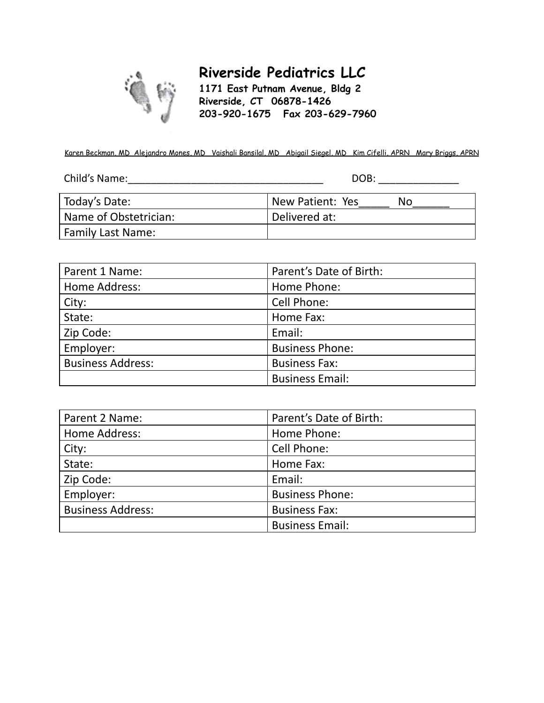

Family Last Name:

# **Riverside Pediatrics LLC**

**1171 East Putnam Avenue, Bldg 2 Riverside, CT 06878-1426 203-920-1675 Fax 203-629-7960**

Karen Beckman, MD Alejandro Mones, MD Vaishali Bansilal, MD Abigail Siegel, MD Kim Cifelli, APRN Mary Briggs, APRN

| Child's Name: | DOB:                    |  |  |
|---------------|-------------------------|--|--|
|               |                         |  |  |
| Today's Date: | New Patient: Yes<br>No. |  |  |

Name of Obstetrician:  $\vert$  Delivered at:

| Parent 1 Name:           | Parent's Date of Birth: |
|--------------------------|-------------------------|
| Home Address:            | Home Phone:             |
| City:                    | Cell Phone:             |
| State:                   | Home Fax:               |
| Zip Code:                | Email:                  |
| Employer:                | <b>Business Phone:</b>  |
| <b>Business Address:</b> | <b>Business Fax:</b>    |
|                          | <b>Business Email:</b>  |

| Parent 2 Name:           | Parent's Date of Birth: |
|--------------------------|-------------------------|
| Home Address:            | Home Phone:             |
| City:                    | Cell Phone:             |
| State:                   | Home Fax:               |
| Zip Code:                | Email:                  |
| Employer:                | <b>Business Phone:</b>  |
| <b>Business Address:</b> | <b>Business Fax:</b>    |
|                          | <b>Business Email:</b>  |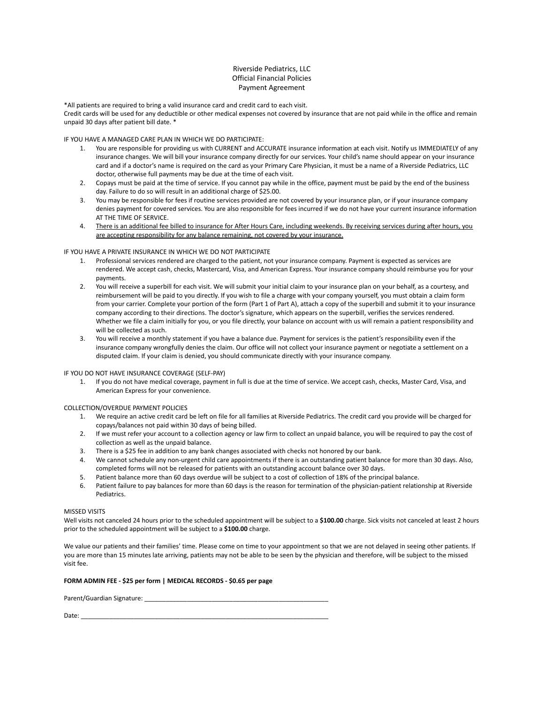#### Riverside Pediatrics, LLC Official Financial Policies Payment Agreement

\*All patients are required to bring a valid insurance card and credit card to each visit.

Credit cards will be used for any deductible or other medical expenses not covered by insurance that are not paid while in the office and remain unpaid 30 days after patient bill date. \*

IF YOU HAVE A MANAGED CARE PLAN IN WHICH WE DO PARTICIPATE:

- 1. You are responsible for providing us with CURRENT and ACCURATE insurance information at each visit. Notify us IMMEDIATELY of any insurance changes. We will bill your insurance company directly for our services. Your child's name should appear on your insurance card and if a doctor's name is required on the card as your Primary Care Physician, it must be a name of a Riverside Pediatrics, LLC doctor, otherwise full payments may be due at the time of each visit.
- 2. Copays must be paid at the time of service. If you cannot pay while in the office, payment must be paid by the end of the business day. Failure to do so will result in an additional charge of \$25.00.
- 3. You may be responsible for fees if routine services provided are not covered by your insurance plan, or if your insurance company denies payment for covered services. You are also responsible for fees incurred if we do not have your current insurance information AT THE TIME OF SERVICE.
- 4. There is an additional fee billed to insurance for After Hours Care, including weekends. By receiving services during after hours, you are accepting responsibility for any balance remaining, not covered by your insurance.

#### IF YOU HAVE A PRIVATE INSURANCE IN WHICH WE DO NOT PARTICIPATE

- 1. Professional services rendered are charged to the patient, not your insurance company. Payment is expected as services are rendered. We accept cash, checks, Mastercard, Visa, and American Express. Your insurance company should reimburse you for your payments.
- 2. You will receive a superbill for each visit. We will submit your initial claim to your insurance plan on your behalf, as a courtesy, and reimbursement will be paid to you directly. If you wish to file a charge with your company yourself, you must obtain a claim form from your carrier. Complete your portion of the form (Part 1 of Part A), attach a copy of the superbill and submit it to your insurance company according to their directions. The doctor's signature, which appears on the superbill, verifies the services rendered. Whether we file a claim initially for you, or you file directly, your balance on account with us will remain a patient responsibility and will be collected as such.
- 3. You will receive a monthly statement if you have a balance due. Payment for services is the patient's responsibility even if the insurance company wrongfully denies the claim. Our office will not collect your insurance payment or negotiate a settlement on a disputed claim. If your claim is denied, you should communicate directly with your insurance company.

IF YOU DO NOT HAVE INSURANCE COVERAGE (SELF-PAY)

1. If you do not have medical coverage, payment in full is due at the time of service. We accept cash, checks, Master Card, Visa, and American Express for your convenience.

COLLECTION/OVERDUE PAYMENT POLICIES

- 1. We require an active credit card be left on file for all families at Riverside Pediatrics. The credit card you provide will be charged for copays/balances not paid within 30 days of being billed.
- 2. If we must refer your account to a collection agency or law firm to collect an unpaid balance, you will be required to pay the cost of collection as well as the unpaid balance.
- 3. There is a \$25 fee in addition to any bank changes associated with checks not honored by our bank.
- 4. We cannot schedule any non-urgent child care appointments if there is an outstanding patient balance for more than 30 days. Also, completed forms will not be released for patients with an outstanding account balance over 30 days.
- 5. Patient balance more than 60 days overdue will be subject to a cost of collection of 18% of the principal balance.
- 6. Patient failure to pay balances for more than 60 days is the reason for termination of the physician-patient relationship at Riverside Pediatrics.

#### MISSED VISITS

Well visits not canceled 24 hours prior to the scheduled appointment will be subject to a **\$100.00** charge. Sick visits not canceled at least 2 hours prior to the scheduled appointment will be subject to a **\$100.00** charge.

We value our patients and their families' time. Please come on time to your appointment so that we are not delayed in seeing other patients. If you are more than 15 minutes late arriving, patients may not be able to be seen by the physician and therefore, will be subject to the missed visit fee.

#### **FORM ADMIN FEE - \$25 per form | MEDICAL RECORDS - \$0.65 per page**

Parent/Guardian Signature: \_

Date: \_\_\_\_\_\_\_\_\_\_\_\_\_\_\_\_\_\_\_\_\_\_\_\_\_\_\_\_\_\_\_\_\_\_\_\_\_\_\_\_\_\_\_\_\_\_\_\_\_\_\_\_\_\_\_\_\_\_\_\_\_\_\_\_\_\_\_\_\_\_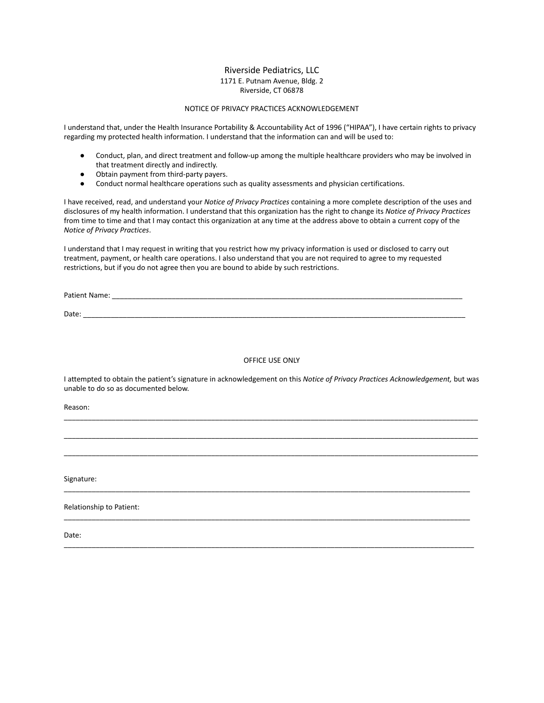#### Riverside Pediatrics, LLC 1171 E. Putnam Avenue, Bldg. 2 Riverside, CT 06878

#### NOTICE OF PRIVACY PRACTICES ACKNOWLEDGEMENT

I understand that, under the Health Insurance Portability & Accountability Act of 1996 ("HIPAA"), I have certain rights to privacy regarding my protected health information. I understand that the information can and will be used to:

- Conduct, plan, and direct treatment and follow-up among the multiple healthcare providers who may be involved in that treatment directly and indirectly.
- Obtain payment from third-party payers.
- Conduct normal healthcare operations such as quality assessments and physician certifications.

I have received, read, and understand your *Notice of Privacy Practices* containing a more complete description of the uses and disclosures of my health information. I understand that this organization has the right to change its *Notice of Privacy Practices* from time to time and that I may contact this organization at any time at the address above to obtain a current copy of the *Notice of Privacy Practices*.

I understand that I may request in writing that you restrict how my privacy information is used or disclosed to carry out treatment, payment, or health care operations. I also understand that you are not required to agree to my requested restrictions, but if you do not agree then you are bound to abide by such restrictions.

Patient Name: \_\_\_\_\_\_\_\_\_\_\_\_\_\_\_\_\_\_\_\_\_\_\_\_\_\_\_\_\_\_\_\_\_\_\_\_\_\_\_\_\_\_\_\_\_\_\_\_\_\_\_\_\_\_\_\_\_\_\_\_\_\_\_\_\_\_\_\_\_\_\_\_\_\_\_\_\_\_\_\_\_\_\_\_\_\_\_\_

Date: \_\_\_\_\_\_\_\_\_\_\_\_\_\_\_\_\_\_\_\_\_\_\_\_\_\_\_\_\_\_\_\_\_\_\_\_\_\_\_\_\_\_\_\_\_\_\_\_\_\_\_\_\_\_\_\_\_\_\_\_\_\_\_\_\_\_\_\_\_\_\_\_\_\_\_\_\_\_\_\_\_\_\_\_\_\_\_\_\_\_\_\_\_\_\_\_

#### OFFICE USE ONLY

I attempted to obtain the patient's signature in acknowledgement on this *Notice of Privacy Practices Acknowledgement,* but was unable to do so as documented below.

\_\_\_\_\_\_\_\_\_\_\_\_\_\_\_\_\_\_\_\_\_\_\_\_\_\_\_\_\_\_\_\_\_\_\_\_\_\_\_\_\_\_\_\_\_\_\_\_\_\_\_\_\_\_\_\_\_\_\_\_\_\_\_\_\_\_\_\_\_\_\_\_\_\_\_\_\_\_\_\_\_\_\_\_\_\_\_\_\_\_\_\_\_\_\_\_\_\_\_\_\_\_\_\_

\_\_\_\_\_\_\_\_\_\_\_\_\_\_\_\_\_\_\_\_\_\_\_\_\_\_\_\_\_\_\_\_\_\_\_\_\_\_\_\_\_\_\_\_\_\_\_\_\_\_\_\_\_\_\_\_\_\_\_\_\_\_\_\_\_\_\_\_\_\_\_\_\_\_\_\_\_\_\_\_\_\_\_\_\_\_\_\_\_\_\_\_\_\_\_\_\_\_\_\_\_\_\_\_ \_\_\_\_\_\_\_\_\_\_\_\_\_\_\_\_\_\_\_\_\_\_\_\_\_\_\_\_\_\_\_\_\_\_\_\_\_\_\_\_\_\_\_\_\_\_\_\_\_\_\_\_\_\_\_\_\_\_\_\_\_\_\_\_\_\_\_\_\_\_\_\_\_\_\_\_\_\_\_\_\_\_\_\_\_\_\_\_\_\_\_\_\_\_\_\_\_\_\_\_\_\_\_\_

\_\_\_\_\_\_\_\_\_\_\_\_\_\_\_\_\_\_\_\_\_\_\_\_\_\_\_\_\_\_\_\_\_\_\_\_\_\_\_\_\_\_\_\_\_\_\_\_\_\_\_\_\_\_\_\_\_\_\_\_\_\_\_\_\_\_\_\_\_\_\_\_\_\_\_\_\_\_\_\_\_\_\_\_\_\_\_\_\_\_\_\_\_\_\_\_\_\_\_\_\_\_

\_\_\_\_\_\_\_\_\_\_\_\_\_\_\_\_\_\_\_\_\_\_\_\_\_\_\_\_\_\_\_\_\_\_\_\_\_\_\_\_\_\_\_\_\_\_\_\_\_\_\_\_\_\_\_\_\_\_\_\_\_\_\_\_\_\_\_\_\_\_\_\_\_\_\_\_\_\_\_\_\_\_\_\_\_\_\_\_\_\_\_\_\_\_\_\_\_\_\_\_\_\_

\_\_\_\_\_\_\_\_\_\_\_\_\_\_\_\_\_\_\_\_\_\_\_\_\_\_\_\_\_\_\_\_\_\_\_\_\_\_\_\_\_\_\_\_\_\_\_\_\_\_\_\_\_\_\_\_\_\_\_\_\_\_\_\_\_\_\_\_\_\_\_\_\_\_\_\_\_\_\_\_\_\_\_\_\_\_\_\_\_\_\_\_\_\_\_\_\_\_\_\_\_\_\_

Reason:

Signature:

Relationship to Patient:

Date: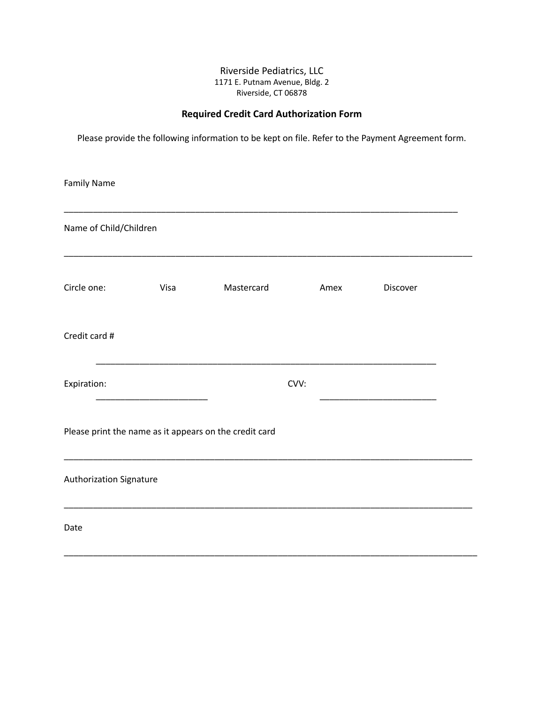### Riverside Pediatrics, LLC 1171 E. Putnam Avenue, Bldg. 2 Riverside, CT 06878

## **Required Credit Card Authorization Form**

Please provide the following information to be kept on file. Refer to the Payment Agreement form.

| <b>Family Name</b>             |      |                                                        |      |          |  |
|--------------------------------|------|--------------------------------------------------------|------|----------|--|
| Name of Child/Children         |      |                                                        |      |          |  |
| Circle one:                    | Visa | Mastercard                                             | Amex | Discover |  |
| Credit card #                  |      |                                                        |      |          |  |
| Expiration:                    |      |                                                        | CVV: |          |  |
|                                |      | Please print the name as it appears on the credit card |      |          |  |
| <b>Authorization Signature</b> |      |                                                        |      |          |  |
| Date                           |      |                                                        |      |          |  |

\_\_\_\_\_\_\_\_\_\_\_\_\_\_\_\_\_\_\_\_\_\_\_\_\_\_\_\_\_\_\_\_\_\_\_\_\_\_\_\_\_\_\_\_\_\_\_\_\_\_\_\_\_\_\_\_\_\_\_\_\_\_\_\_\_\_\_\_\_\_\_\_\_\_\_\_\_\_\_\_\_\_\_\_\_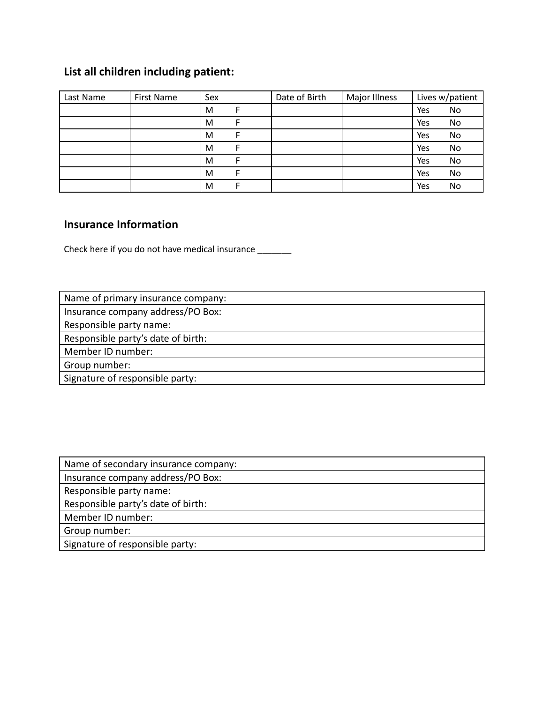## **List all children including patient:**

| Last Name | First Name | Sex | Date of Birth | Major Illness |     | Lives w/patient |
|-----------|------------|-----|---------------|---------------|-----|-----------------|
|           |            | M   |               |               | Yes | No              |
|           |            | M   |               |               | Yes | No              |
|           |            | M   |               |               | Yes | No              |
|           |            | M   |               |               | Yes | No              |
|           |            | M   |               |               | Yes | No              |
|           |            | M   |               |               | Yes | No              |
|           |            | M   |               |               | Yes | No              |

## **Insurance Information**

Check here if you do not have medical insurance \_\_\_\_\_\_\_

| Name of primary insurance company: |
|------------------------------------|
| Insurance company address/PO Box:  |
| Responsible party name:            |
| Responsible party's date of birth: |
| Member ID number:                  |
| Group number:                      |
| Signature of responsible party:    |

| Name of secondary insurance company: |
|--------------------------------------|
| Insurance company address/PO Box:    |
| Responsible party name:              |
| Responsible party's date of birth:   |
| Member ID number:                    |
| Group number:                        |
| Signature of responsible party:      |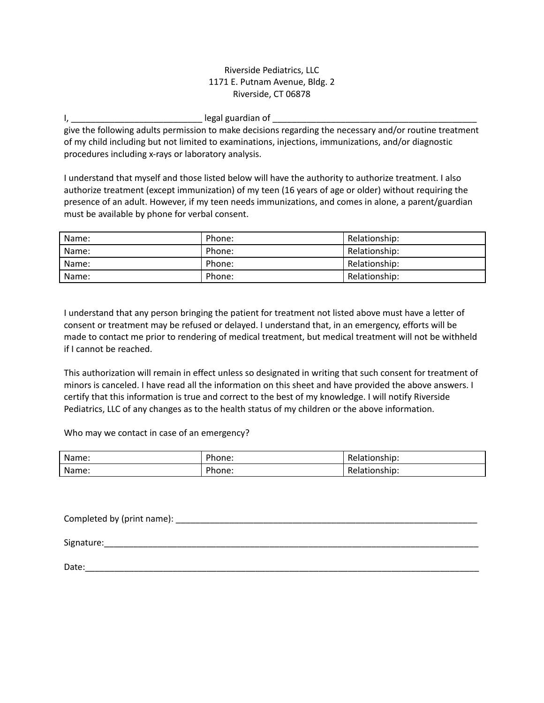### Riverside Pediatrics, LLC 1171 E. Putnam Avenue, Bldg. 2 Riverside, CT 06878

I, \_\_\_\_\_\_\_\_\_\_\_\_\_\_\_\_\_\_\_\_\_\_\_\_\_\_\_ legal guardian of \_\_\_\_\_\_\_\_\_\_\_\_\_\_\_\_\_\_\_\_\_\_\_\_\_\_\_\_\_\_\_\_\_\_\_\_\_\_\_\_\_\_

give the following adults permission to make decisions regarding the necessary and/or routine treatment of my child including but not limited to examinations, injections, immunizations, and/or diagnostic procedures including x-rays or laboratory analysis.

I understand that myself and those listed below will have the authority to authorize treatment. I also authorize treatment (except immunization) of my teen (16 years of age or older) without requiring the presence of an adult. However, if my teen needs immunizations, and comes in alone, a parent/guardian must be available by phone for verbal consent.

| Name: | Phone: | Relationship: |
|-------|--------|---------------|
| Name: | Phone: | Relationship: |
| Name: | Phone: | Relationship: |
| Name: | Phone: | Relationship: |

I understand that any person bringing the patient for treatment not listed above must have a letter of consent or treatment may be refused or delayed. I understand that, in an emergency, efforts will be made to contact me prior to rendering of medical treatment, but medical treatment will not be withheld if I cannot be reached.

This authorization will remain in effect unless so designated in writing that such consent for treatment of minors is canceled. I have read all the information on this sheet and have provided the above answers. I certify that this information is true and correct to the best of my knowledge. I will notify Riverside Pediatrics, LLC of any changes as to the health status of my children or the above information.

Who may we contact in case of an emergency?

| Name: | Phone: | Relationship:       |
|-------|--------|---------------------|
| Name: | Phone: | elationship:<br>ke, |

Completed by (print name): \_\_\_\_\_\_\_\_\_\_\_\_\_\_\_\_\_\_\_\_\_\_\_\_\_\_\_\_\_\_\_\_\_\_\_\_\_\_\_\_\_\_\_\_\_\_\_\_\_\_\_\_\_\_\_\_\_\_\_\_\_\_ Signature:\_\_\_\_\_\_\_\_\_\_\_\_\_\_\_\_\_\_\_\_\_\_\_\_\_\_\_\_\_\_\_\_\_\_\_\_\_\_\_\_\_\_\_\_\_\_\_\_\_\_\_\_\_\_\_\_\_\_\_\_\_\_\_\_\_\_\_\_\_\_\_\_\_\_\_\_\_ Date: